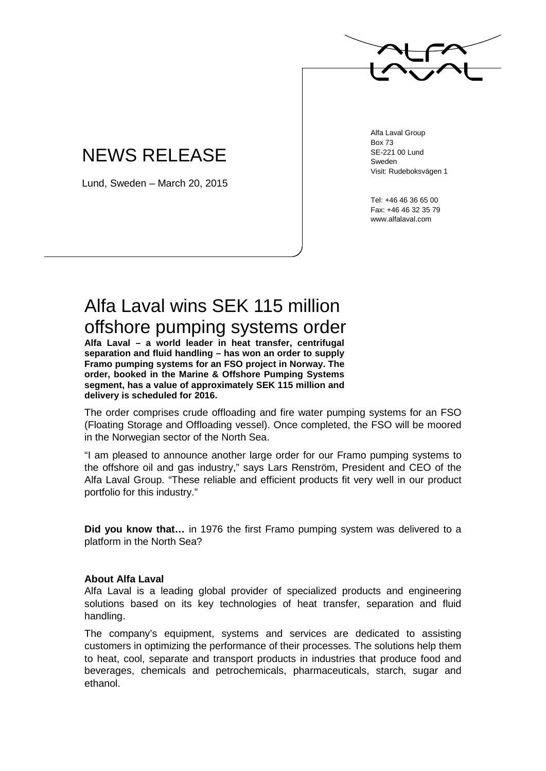

## NEWS RELEASE

Lund, Sweden – March 20, 2015

Alfa Laval Group Box 73 SE-221 00 Lund Sweden Visit: Rudeboksvägen 1

Tel: +46 46 36 65 00 Fax: +46 46 32 35 79 www.alfalaval.com

## Alfa Laval wins SEK 115 million offshore pumping systems order

**Alfa Laval – a world leader in heat transfer, centrifugal separation and fluid handling – has won an order to supply Framo pumping systems for an FSO project in Norway. The order, booked in the Marine & Offshore Pumping Systems segment, has a value of approximately SEK 115 million and delivery is scheduled for 2016.** 

The order comprises crude offloading and fire water pumping systems for an FSO (Floating Storage and Offloading vessel). Once completed, the FSO will be moored in the Norwegian sector of the North Sea.

"I am pleased to announce another large order for our Framo pumping systems to the offshore oil and gas industry," says Lars Renström, President and CEO of the Alfa Laval Group. "These reliable and efficient products fit very well in our product portfolio for this industry."

**Did you know that…** in 1976 the first Framo pumping system was delivered to a platform in the North Sea?

## **About Alfa Laval**

Alfa Laval is a leading global provider of specialized products and engineering solutions based on its key technologies of heat transfer, separation and fluid handling.

The company's equipment, systems and services are dedicated to assisting customers in optimizing the performance of their processes. The solutions help them to heat, cool, separate and transport products in industries that produce food and beverages, chemicals and petrochemicals, pharmaceuticals, starch, sugar and ethanol.